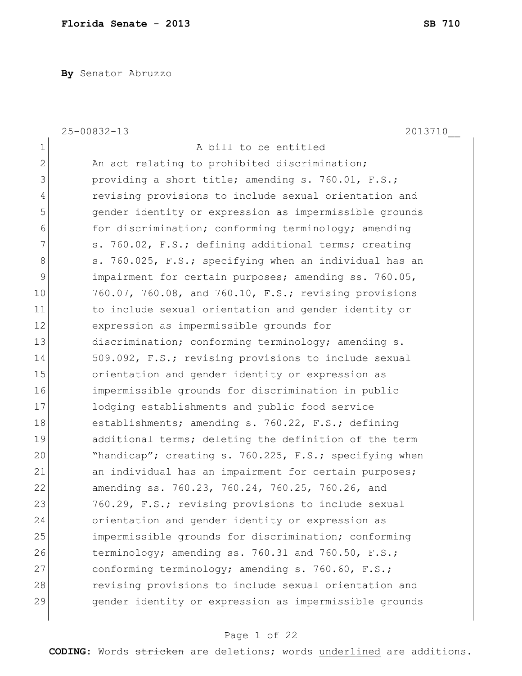**By** Senator Abruzzo

|                | $25 - 00832 - 13$<br>2013710                           |
|----------------|--------------------------------------------------------|
| $\mathbf 1$    | A bill to be entitled                                  |
| $\overline{2}$ | An act relating to prohibited discrimination;          |
| 3              | providing a short title; amending s. 760.01, F.S.;     |
| 4              | revising provisions to include sexual orientation and  |
| 5              | gender identity or expression as impermissible grounds |
| 6              | for discrimination; conforming terminology; amending   |
| 7              | s. 760.02, F.S.; defining additional terms; creating   |
| 8              | s. 760.025, F.S.; specifying when an individual has an |
| 9              | impairment for certain purposes; amending ss. 760.05,  |
| 10             | 760.07, 760.08, and 760.10, F.S.; revising provisions  |
| 11             | to include sexual orientation and gender identity or   |
| 12             | expression as impermissible grounds for                |
| 13             | discrimination; conforming terminology; amending s.    |
| 14             | 509.092, F.S.; revising provisions to include sexual   |
| 15             | orientation and gender identity or expression as       |
| 16             | impermissible grounds for discrimination in public     |
| 17             | lodging establishments and public food service         |
| 18             | establishments; amending s. 760.22, F.S.; defining     |
| 19             | additional terms; deleting the definition of the term  |
| 20             | "handicap"; creating s. 760.225, F.S.; specifying when |
| 21             | an individual has an impairment for certain purposes;  |
| 22             | amending ss. 760.23, 760.24, 760.25, 760.26, and       |
| 23             | 760.29, F.S.; revising provisions to include sexual    |
| 24             | orientation and gender identity or expression as       |
| 25             | impermissible grounds for discrimination; conforming   |
| 26             | terminology; amending ss. 760.31 and 760.50, F.S.;     |
| 27             | conforming terminology; amending s. 760.60, F.S.;      |
| 28             | revising provisions to include sexual orientation and  |
| 29             | gender identity or expression as impermissible grounds |

# Page 1 of 22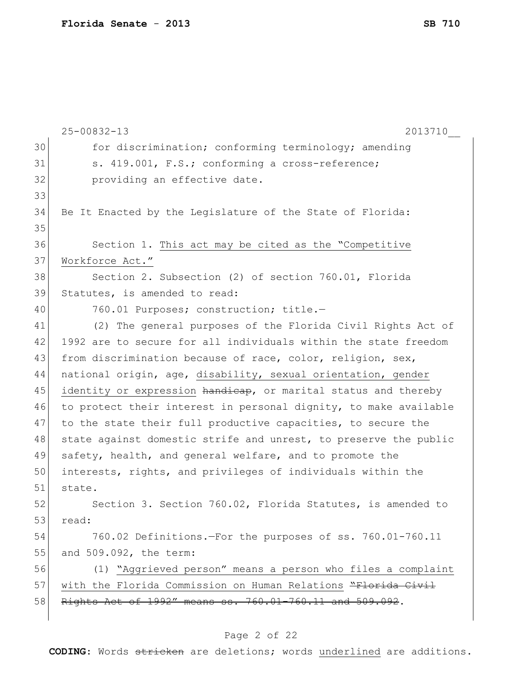|    | $25 - 00832 - 13$<br>2013710                                     |
|----|------------------------------------------------------------------|
| 30 | for discrimination; conforming terminology; amending             |
| 31 | s. 419.001, F.S.; conforming a cross-reference;                  |
| 32 | providing an effective date.                                     |
| 33 |                                                                  |
| 34 | Be It Enacted by the Legislature of the State of Florida:        |
| 35 |                                                                  |
| 36 | Section 1. This act may be cited as the "Competitive             |
| 37 | Workforce Act."                                                  |
| 38 | Section 2. Subsection (2) of section 760.01, Florida             |
| 39 | Statutes, is amended to read:                                    |
| 40 | 760.01 Purposes; construction; title.-                           |
| 41 | (2) The general purposes of the Florida Civil Rights Act of      |
| 42 | 1992 are to secure for all individuals within the state freedom  |
| 43 | from discrimination because of race, color, religion, sex,       |
| 44 | national origin, age, disability, sexual orientation, gender     |
| 45 | identity or expression handicap, or marital status and thereby   |
| 46 | to protect their interest in personal dignity, to make available |
| 47 | to the state their full productive capacities, to secure the     |
| 48 | state against domestic strife and unrest, to preserve the public |
| 49 | safety, health, and general welfare, and to promote the          |
| 50 | interests, rights, and privileges of individuals within the      |
| 51 | state.                                                           |
| 52 | Section 3. Section 760.02, Florida Statutes, is amended to       |
| 53 | read:                                                            |
| 54 | 760.02 Definitions.-For the purposes of ss. 760.01-760.11        |
| 55 | and 509.092, the term:                                           |
| 56 | (1) "Aggrieved person" means a person who files a complaint      |
| 57 | with the Florida Commission on Human Relations "Florida Civil    |
| 58 | Rights Act of 1992" means ss. 760.01-760.11 and 509.092.         |
|    |                                                                  |

# Page 2 of 22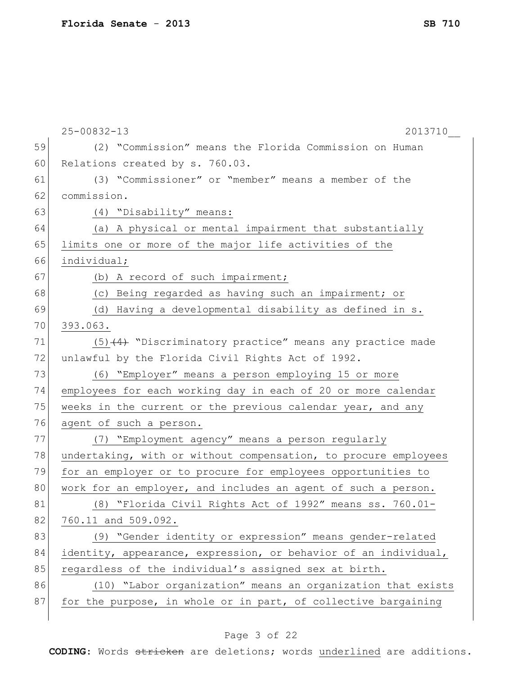|    | $25 - 00832 - 13$<br>2013710                                    |
|----|-----------------------------------------------------------------|
| 59 | (2) "Commission" means the Florida Commission on Human          |
| 60 | Relations created by s. 760.03.                                 |
| 61 | (3) "Commissioner" or "member" means a member of the            |
| 62 | commission.                                                     |
| 63 | (4) "Disability" means:                                         |
| 64 | (a) A physical or mental impairment that substantially          |
| 65 | limits one or more of the major life activities of the          |
| 66 | individual;                                                     |
| 67 | (b) A record of such impairment;                                |
| 68 | (c) Being regarded as having such an impairment; or             |
| 69 | (d) Having a developmental disability as defined in s.          |
| 70 | 393.063.                                                        |
| 71 | $(5)$ $(4)$ "Discriminatory practice" means any practice made   |
| 72 | unlawful by the Florida Civil Rights Act of 1992.               |
| 73 | (6) "Employer" means a person employing 15 or more              |
| 74 | employees for each working day in each of 20 or more calendar   |
| 75 | weeks in the current or the previous calendar year, and any     |
| 76 | agent of such a person.                                         |
| 77 | (7) "Employment agency" means a person regularly                |
| 78 | undertaking, with or without compensation, to procure employees |
| 79 | for an employer or to procure for employees opportunities to    |
| 80 | work for an employer, and includes an agent of such a person.   |
| 81 | (8) "Florida Civil Rights Act of 1992" means ss. 760.01-        |
| 82 | 760.11 and 509.092.                                             |
| 83 | (9) "Gender identity or expression" means gender-related        |
| 84 | identity, appearance, expression, or behavior of an individual, |
| 85 | regardless of the individual's assigned sex at birth.           |
| 86 | (10) "Labor organization" means an organization that exists     |
| 87 | for the purpose, in whole or in part, of collective bargaining  |
|    |                                                                 |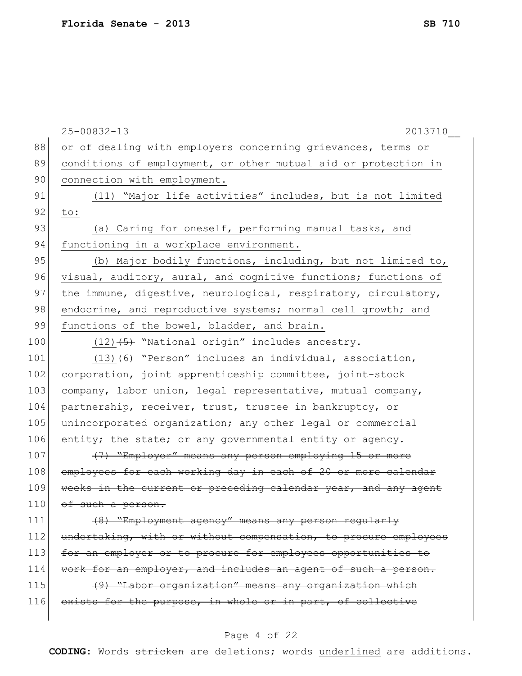|     | $25 - 00832 - 13$<br>2013710                                    |
|-----|-----------------------------------------------------------------|
| 88  | or of dealing with employers concerning grievances, terms or    |
| 89  | conditions of employment, or other mutual aid or protection in  |
| 90  | connection with employment.                                     |
| 91  | (11) "Major life activities" includes, but is not limited       |
| 92  | to:                                                             |
| 93  | (a) Caring for oneself, performing manual tasks, and            |
| 94  | functioning in a workplace environment.                         |
| 95  | (b) Major bodily functions, including, but not limited to,      |
| 96  | visual, auditory, aural, and cognitive functions; functions of  |
| 97  | the immune, digestive, neurological, respiratory, circulatory,  |
| 98  | endocrine, and reproductive systems; normal cell growth; and    |
| 99  | functions of the bowel, bladder, and brain.                     |
| 100 | $(12)$ $(5)$ "National origin" includes ancestry.               |
| 101 | $(13)$ (6) "Person" includes an individual, association,        |
| 102 | corporation, joint apprenticeship committee, joint-stock        |
| 103 | company, labor union, legal representative, mutual company,     |
| 104 | partnership, receiver, trust, trustee in bankruptcy, or         |
| 105 | unincorporated organization; any other legal or commercial      |
| 106 | entity; the state; or any governmental entity or agency.        |
| 107 | (7) "Employer" means any person employing 15 or more            |
| 108 | employees for each working day in each of 20 or more calendar   |
| 109 | weeks in the current or preceding calendar year, and any agent  |
| 110 | of such a person.                                               |
| 111 | (8) "Employment agency" means any person regularly              |
| 112 | undertaking, with or without compensation, to procure employees |
| 113 | for an employer or to procure for employees opportunities to    |
| 114 | work for an employer, and includes an agent of such a person.   |
| 115 | (9) "Labor organization" means any organization which           |
| 116 | exists for the purpose, in whole or in part, of collective      |
|     |                                                                 |

# Page 4 of 22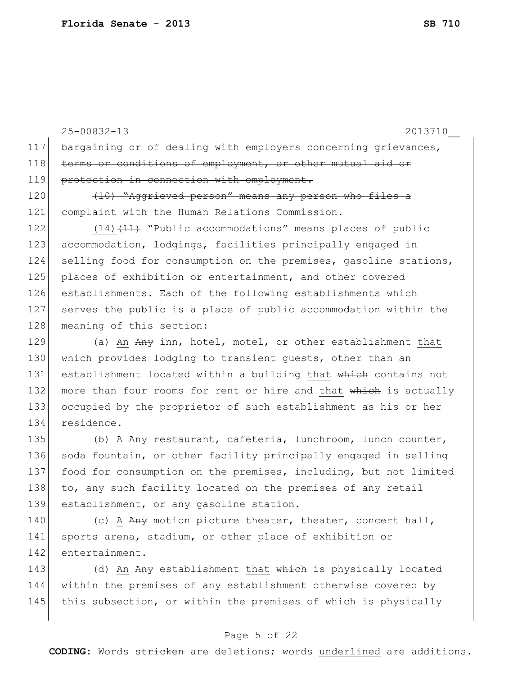|              | $25 - 00832 - 13$<br>2013710                                              |
|--------------|---------------------------------------------------------------------------|
| 117          | bargaining or of dealing with employers concerning grievances,            |
| 118          | terms or conditions of employment, or other mutual aid or                 |
| 119          | protection in connection with employment.                                 |
| 120          | (10) "Aggrieved person" means any person who files a                      |
| 121          | complaint with the Human Relations Commission.                            |
| 122          | $(14)$ $(11)$ "Public accommodations" means places of public              |
| 123          | accommodation, lodgings, facilities principally engaged in                |
| 124          | selling food for consumption on the premises, gasoline stations,          |
| 125          | places of exhibition or entertainment, and other covered                  |
| 126          | establishments. Each of the following establishments which                |
| 127          | serves the public is a place of public accommodation within the           |
| 128          | meaning of this section:                                                  |
| 129          | (a) An Any inn, hotel, motel, or other establishment that                 |
| 130          | which provides lodging to transient guests, other than an                 |
| 131          | establishment located within a building that which contains not           |
| 132          | more than four rooms for rent or hire and that which is actually          |
| 133          | occupied by the proprietor of such establishment as his or her            |
| 134          | residence.                                                                |
| 135          | (b) A Any restaurant, cafeteria, lunchroom, lunch counter,                |
| 136          | soda fountain, or other facility principally engaged in selling           |
| 137          | food for consumption on the premises, including, but not limited          |
| 138          | to, any such facility located on the premises of any retail               |
| 139          | establishment, or any gasoline station.                                   |
| 1 <i>4</i> 0 | $(\cap)$ $\Delta$ $\Delta$ pu motion picture theater theater concert hall |

140  $\left( c \right)$   $\frac{A}{A}$   $\frac{A}{A}$  motion picture theater, theater, concert hall, 141 sports arena, stadium, or other place of exhibition or 142 entertainment.

143 (d) An Any establishment that which is physically located 144 within the premises of any establishment otherwise covered by 145 this subsection, or within the premises of which is physically

#### Page 5 of 22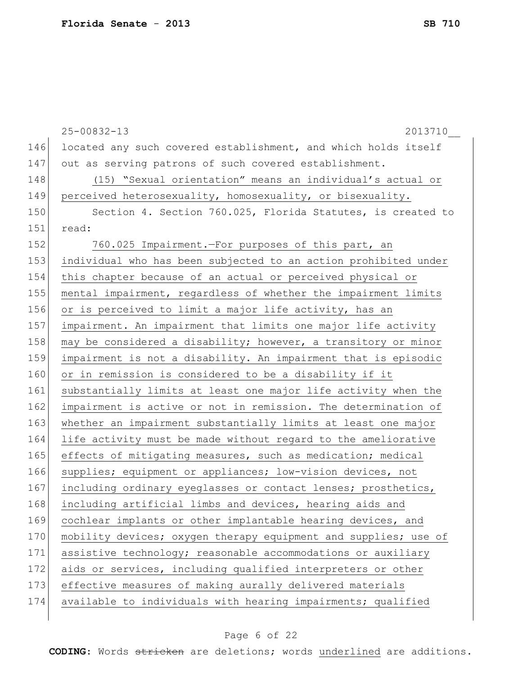|     | $25 - 00832 - 13$<br>2013710                                    |
|-----|-----------------------------------------------------------------|
| 146 | located any such covered establishment, and which holds itself  |
| 147 | out as serving patrons of such covered establishment.           |
| 148 | (15) "Sexual orientation" means an individual's actual or       |
| 149 | perceived heterosexuality, homosexuality, or bisexuality.       |
| 150 | Section 4. Section 760.025, Florida Statutes, is created to     |
| 151 | read:                                                           |
| 152 | 760.025 Impairment. - For purposes of this part, an             |
| 153 | individual who has been subjected to an action prohibited under |
| 154 | this chapter because of an actual or perceived physical or      |
| 155 | mental impairment, regardless of whether the impairment limits  |
| 156 | or is perceived to limit a major life activity, has an          |
| 157 | impairment. An impairment that limits one major life activity   |
| 158 | may be considered a disability; however, a transitory or minor  |
| 159 | impairment is not a disability. An impairment that is episodic  |
| 160 | or in remission is considered to be a disability if it          |
| 161 | substantially limits at least one major life activity when the  |
| 162 | impairment is active or not in remission. The determination of  |
| 163 | whether an impairment substantially limits at least one major   |
| 164 | life activity must be made without regard to the ameliorative   |
| 165 | effects of mitigating measures, such as medication; medical     |
| 166 | supplies; equipment or appliances; low-vision devices, not      |
| 167 | including ordinary eyeglasses or contact lenses; prosthetics,   |
| 168 | including artificial limbs and devices, hearing aids and        |
| 169 | cochlear implants or other implantable hearing devices, and     |
| 170 | mobility devices; oxygen therapy equipment and supplies; use of |
| 171 | assistive technology; reasonable accommodations or auxiliary    |
| 172 | aids or services, including qualified interpreters or other     |
| 173 | effective measures of making aurally delivered materials        |
| 174 | available to individuals with hearing impairments; qualified    |
|     |                                                                 |

# Page 6 of 22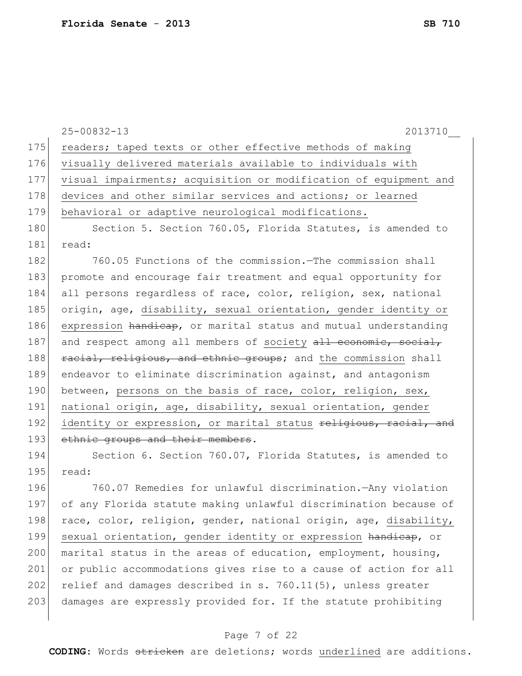|     | 2013710<br>$25 - 00832 - 13$                                     |
|-----|------------------------------------------------------------------|
| 175 | readers; taped texts or other effective methods of making        |
| 176 | visually delivered materials available to individuals with       |
| 177 | visual impairments; acquisition or modification of equipment and |
| 178 | devices and other similar services and actions; or learned       |
| 179 | behavioral or adaptive neurological modifications.               |
| 180 | Section 5. Section 760.05, Florida Statutes, is amended to       |
| 181 | read:                                                            |
| 182 | 760.05 Functions of the commission. The commission shall         |
| 183 | promote and encourage fair treatment and equal opportunity for   |
| 184 | all persons regardless of race, color, religion, sex, national   |
| 185 | origin, age, disability, sexual orientation, gender identity or  |
| 186 | expression handicap, or marital status and mutual understanding  |
| 187 | and respect among all members of society all economic, social,   |
| 188 | racial, religious, and ethnic groups; and the commission shall   |
| 189 | endeavor to eliminate discrimination against, and antagonism     |
| 190 | between, persons on the basis of race, color, religion, sex,     |
| 191 | national origin, age, disability, sexual orientation, gender     |
| 192 | identity or expression, or marital status religious, racial, and |
| 193 | ethnic groups and their members.                                 |
| 194 | Section 6. Section 760.07, Florida Statutes, is amended to       |
| 195 | read:                                                            |
| 196 | 760.07 Remedies for unlawful discrimination. - Any violation     |
| 197 | of any Florida statute making unlawful discrimination because of |
| 198 | race, color, religion, gender, national origin, age, disability, |
| 199 | sexual orientation, gender identity or expression handicap, or   |
| 200 | marital status in the areas of education, employment, housing,   |
| 201 | or public accommodations gives rise to a cause of action for all |
| 202 | relief and damages described in s. 760.11(5), unless greater     |
| 203 | damages are expressly provided for. If the statute prohibiting   |
|     |                                                                  |

# Page 7 of 22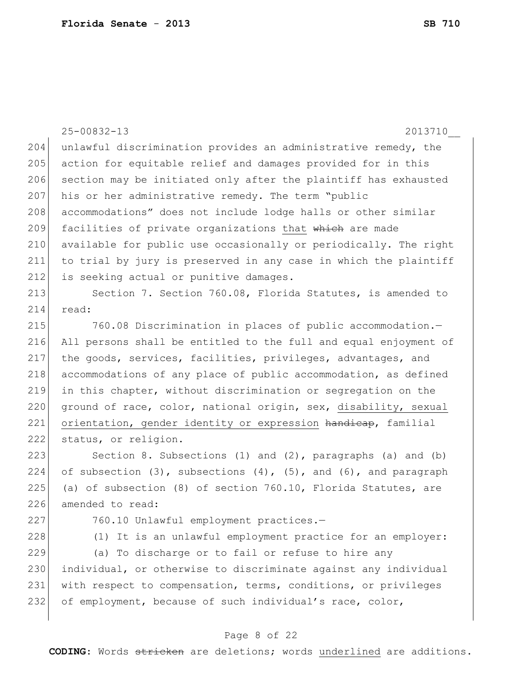|     | $25 - 00832 - 13$<br>2013710                                                |
|-----|-----------------------------------------------------------------------------|
| 204 | unlawful discrimination provides an administrative remedy, the              |
| 205 | action for equitable relief and damages provided for in this                |
| 206 | section may be initiated only after the plaintiff has exhausted             |
| 207 | his or her administrative remedy. The term "public                          |
| 208 | accommodations" does not include lodge halls or other similar               |
| 209 | facilities of private organizations that which are made                     |
| 210 | available for public use occasionally or periodically. The right            |
| 211 | to trial by jury is preserved in any case in which the plaintiff            |
| 212 | is seeking actual or punitive damages.                                      |
| 213 | Section 7. Section 760.08, Florida Statutes, is amended to                  |
| 214 | read:                                                                       |
| 215 | 760.08 Discrimination in places of public accommodation.-                   |
| 216 | All persons shall be entitled to the full and equal enjoyment of            |
| 217 | the goods, services, facilities, privileges, advantages, and                |
| 218 | accommodations of any place of public accommodation, as defined             |
| 219 | in this chapter, without discrimination or segregation on the               |
| 220 | ground of race, color, national origin, sex, disability, sexual             |
| 221 | orientation, gender identity or expression handicap, familial               |
| 222 | status, or religion.                                                        |
| 223 | Section 8. Subsections $(1)$ and $(2)$ , paragraphs $(a)$ and $(b)$         |
| 224 | of subsection $(3)$ , subsections $(4)$ , $(5)$ , and $(6)$ , and paragraph |
| 225 | (a) of subsection (8) of section 760.10, Florida Statutes, are              |
| 226 | amended to read:                                                            |
| 227 | 760.10 Unlawful employment practices.-                                      |
| 228 | (1) It is an unlawful employment practice for an employer:                  |
| 229 | (a) To discharge or to fail or refuse to hire any                           |
| 230 | individual, or otherwise to discriminate against any individual             |
| 231 | with respect to compensation, terms, conditions, or privileges              |
| 232 | of employment, because of such individual's race, color,                    |
|     |                                                                             |

# Page 8 of 22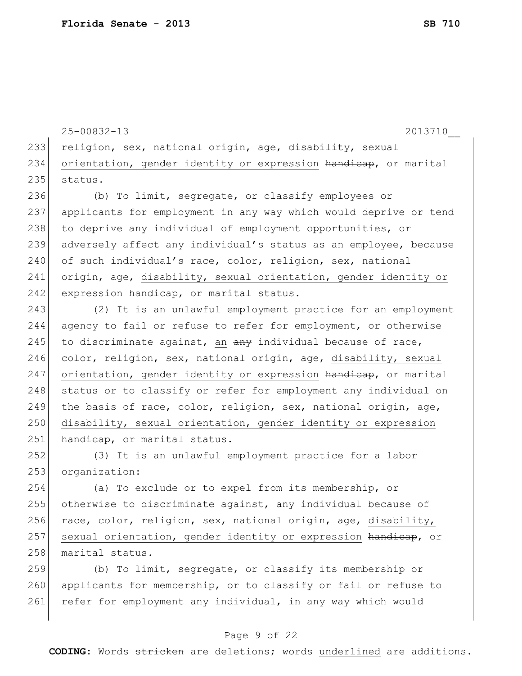25-00832-13 2013710\_\_ 233 religion, sex, national origin, age, disability, sexual 234 orientation, gender identity or expression handicap, or marital 235 status.

236 (b) To limit, segregate, or classify employees or 237 applicants for employment in any way which would deprive or tend 238 to deprive any individual of employment opportunities, or 239 adversely affect any individual's status as an employee, because 240 of such individual's race, color, religion, sex, national 241 origin, age, disability, sexual orientation, gender identity or 242 expression handicap, or marital status.

243 (2) It is an unlawful employment practice for an employment 244 agency to fail or refuse to refer for employment, or otherwise 245 to discriminate against, an  $\frac{a}{b}$  individual because of race, 246 color, religion, sex, national origin, age, disability, sexual 247 orientation, gender identity or expression handicap, or marital 248 status or to classify or refer for employment any individual on 249 the basis of race, color, religion, sex, national origin, age, 250 disability, sexual orientation, gender identity or expression 251 handicap, or marital status.

252 (3) It is an unlawful employment practice for a labor 253 organization:

254 (a) To exclude or to expel from its membership, or 255 otherwise to discriminate against, any individual because of 256 race, color, religion, sex, national origin, age, disability, 257 sexual orientation, gender identity or expression handicap, or 258 marital status.

259 (b) To limit, segregate, or classify its membership or 260 applicants for membership, or to classify or fail or refuse to 261 refer for employment any individual, in any way which would

#### Page 9 of 22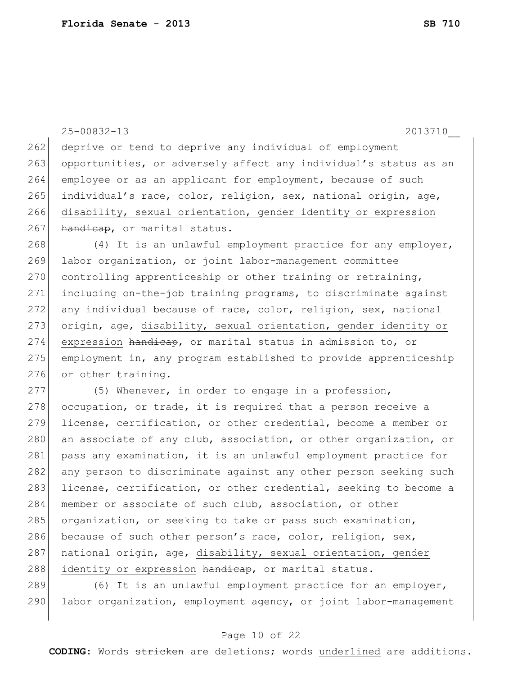```
25-00832-13 2013710__
262 deprive or tend to deprive any individual of employment
263 opportunities, or adversely affect any individual's status as an
264 employee or as an applicant for employment, because of such
265 individual's race, color, religion, sex, national origin, age, 
266 disability, sexual orientation, gender identity or expression
267 handicap, or marital status.
268 (4) It is an unlawful employment practice for any employer,
269 labor organization, or joint labor-management committee 
270 controlling apprenticeship or other training or retraining,
271 including on-the-job training programs, to discriminate against 
272 any individual because of race, color, religion, sex, national
273 origin, age, disability, sexual orientation, gender identity or
274 expression handicap, or marital status in admission to, or
275 employment in, any program established to provide apprenticeship 
276 or other training.
277 (5) Whenever, in order to engage in a profession,
278 occupation, or trade, it is required that a person receive a
279 license, certification, or other credential, become a member or 
280 an associate of any club, association, or other organization, or
281 pass any examination, it is an unlawful employment practice for
282 any person to discriminate against any other person seeking such
283 license, certification, or other credential, seeking to become a
284 member or associate of such club, association, or other
285 organization, or seeking to take or pass such examination,
286 because of such other person's race, color, religion, sex,
287 national origin, age, disability, sexual orientation, gender
288 identity or expression handicap, or marital status.
289 (6) It is an unlawful employment practice for an employer,
```
290 labor organization, employment agency, or joint labor-management

#### Page 10 of 22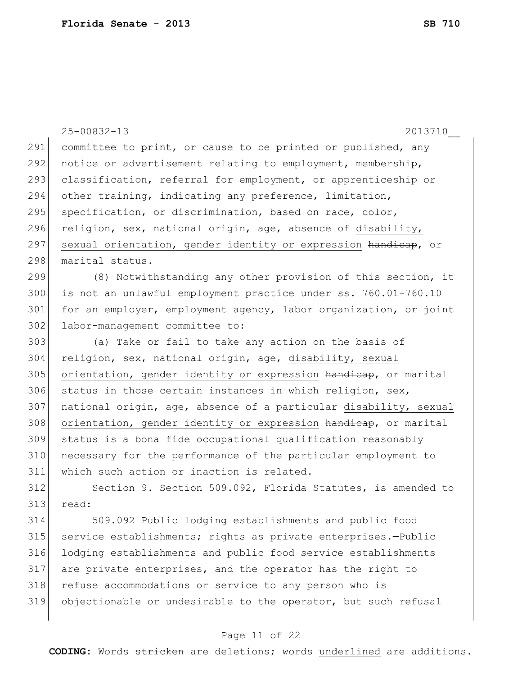|     | $25 - 00832 - 13$<br>2013710                                     |
|-----|------------------------------------------------------------------|
| 291 | committee to print, or cause to be printed or published, any     |
| 292 | notice or advertisement relating to employment, membership,      |
| 293 | classification, referral for employment, or apprenticeship or    |
| 294 | other training, indicating any preference, limitation,           |
| 295 | specification, or discrimination, based on race, color,          |
| 296 | religion, sex, national origin, age, absence of disability,      |
| 297 | sexual orientation, gender identity or expression handicap, or   |
| 298 | marital status.                                                  |
| 299 | (8) Notwithstanding any other provision of this section, it      |
| 300 | is not an unlawful employment practice under ss. 760.01-760.10   |
| 301 | for an employer, employment agency, labor organization, or joint |
| 302 | labor-management committee to:                                   |
| 303 | (a) Take or fail to take any action on the basis of              |
| 304 | religion, sex, national origin, age, disability, sexual          |
| 305 | orientation, gender identity or expression handicap, or marital  |
| 306 | status in those certain instances in which religion, sex,        |
| 307 | national origin, age, absence of a particular disability, sexual |
| 308 | orientation, gender identity or expression handicap, or marital  |
| 309 | status is a bona fide occupational qualification reasonably      |
| 310 | necessary for the performance of the particular employment to    |
| 311 | which such action or inaction is related.                        |
| 312 | Section 9. Section 509.092, Florida Statutes, is amended to      |
| 313 | read:                                                            |
| 314 | 509.092 Public lodging establishments and public food            |
| 315 | service establishments; rights as private enterprises.-Public    |
| 316 | lodging establishments and public food service establishments    |
| 317 | are private enterprises, and the operator has the right to       |
| 318 | refuse accommodations or service to any person who is            |
| 319 | objectionable or undesirable to the operator, but such refusal   |
|     |                                                                  |

# Page 11 of 22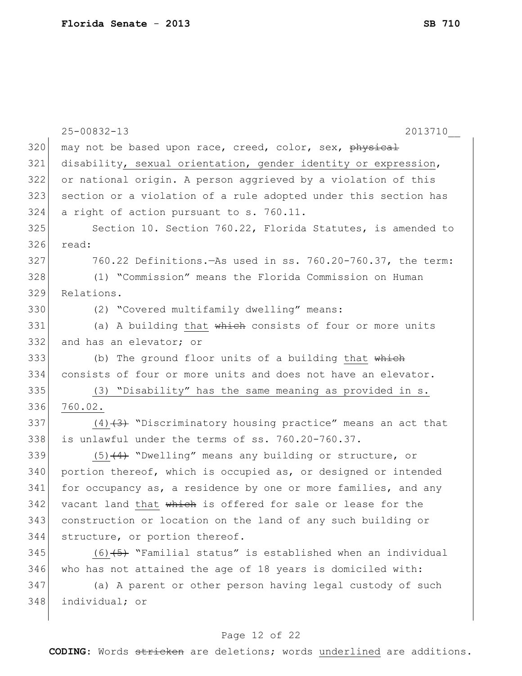|     | $25 - 00832 - 13$<br>2013710                                    |
|-----|-----------------------------------------------------------------|
| 320 | may not be based upon race, creed, color, sex, physical         |
| 321 | disability, sexual orientation, gender identity or expression,  |
| 322 | or national origin. A person aggrieved by a violation of this   |
| 323 | section or a violation of a rule adopted under this section has |
| 324 | a right of action pursuant to s. 760.11.                        |
| 325 | Section 10. Section 760.22, Florida Statutes, is amended to     |
| 326 | read:                                                           |
| 327 | 760.22 Definitions. - As used in ss. 760.20-760.37, the term:   |
| 328 | (1) "Commission" means the Florida Commission on Human          |
| 329 | Relations.                                                      |
| 330 | (2) "Covered multifamily dwelling" means:                       |
| 331 | (a) A building that which consists of four or more units        |
| 332 | and has an elevator; or                                         |
| 333 | (b) The ground floor units of a building that which             |
| 334 | consists of four or more units and does not have an elevator.   |
| 335 | (3) "Disability" has the same meaning as provided in s.         |
| 336 | 760.02.                                                         |
| 337 | $(4)$ +3) "Discriminatory housing practice" means an act that   |
| 338 | is unlawful under the terms of ss. 760.20-760.37.               |
| 339 | $(5)$ $(4)$ "Dwelling" means any building or structure, or      |
| 340 | portion thereof, which is occupied as, or designed or intended  |
| 341 | for occupancy as, a residence by one or more families, and any  |
| 342 | vacant land that which is offered for sale or lease for the     |
| 343 | construction or location on the land of any such building or    |
| 344 | structure, or portion thereof.                                  |
| 345 | $(6)$ +5) "Familial status" is established when an individual   |
| 346 | who has not attained the age of 18 years is domiciled with:     |
| 347 | (a) A parent or other person having legal custody of such       |
| 348 | individual; or                                                  |
|     |                                                                 |

# Page 12 of 22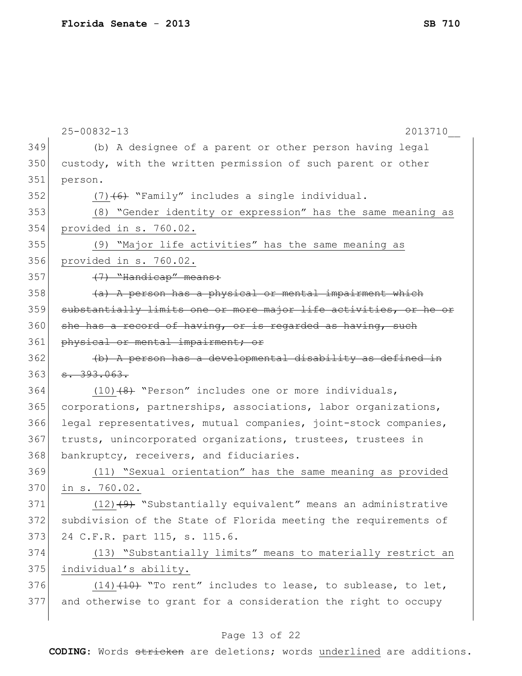|     | $25 - 00832 - 13$<br>2013710                                     |
|-----|------------------------------------------------------------------|
| 349 | (b) A designee of a parent or other person having legal          |
| 350 | custody, with the written permission of such parent or other     |
| 351 | person.                                                          |
| 352 | $(7)$ (6) "Family" includes a single individual.                 |
| 353 | (8) "Gender identity or expression" has the same meaning as      |
| 354 | provided in s. 760.02.                                           |
| 355 | (9) "Major life activities" has the same meaning as              |
| 356 | provided in s. 760.02.                                           |
| 357 | (7) "Handicap" means:                                            |
| 358 | (a) A person has a physical or mental impairment which           |
| 359 | substantially limits one or more major life activities, or he or |
| 360 | she has a record of having, or is regarded as having, such       |
| 361 | physical or mental impairment; or                                |
| 362 | (b) A person has a developmental disability as defined in        |
| 363 | 8.393.063.                                                       |
| 364 | $(10)$ $(8)$ "Person" includes one or more individuals,          |
| 365 | corporations, partnerships, associations, labor organizations,   |
| 366 | legal representatives, mutual companies, joint-stock companies,  |
| 367 | trusts, unincorporated organizations, trustees, trustees in      |
| 368 | bankruptcy, receivers, and fiduciaries.                          |
| 369 | (11) "Sexual orientation" has the same meaning as provided       |
| 370 | in s. 760.02.                                                    |
| 371 | $(12)$ +9+ "Substantially equivalent" means an administrative    |
| 372 | subdivision of the State of Florida meeting the requirements of  |
| 373 | 24 C.F.R. part 115, s. 115.6.                                    |
| 374 | (13) "Substantially limits" means to materially restrict an      |
| 375 | individual's ability.                                            |
| 376 | $(14)$ $(10)$ "To rent" includes to lease, to sublease, to let,  |
| 377 | and otherwise to grant for a consideration the right to occupy   |
|     |                                                                  |

# Page 13 of 22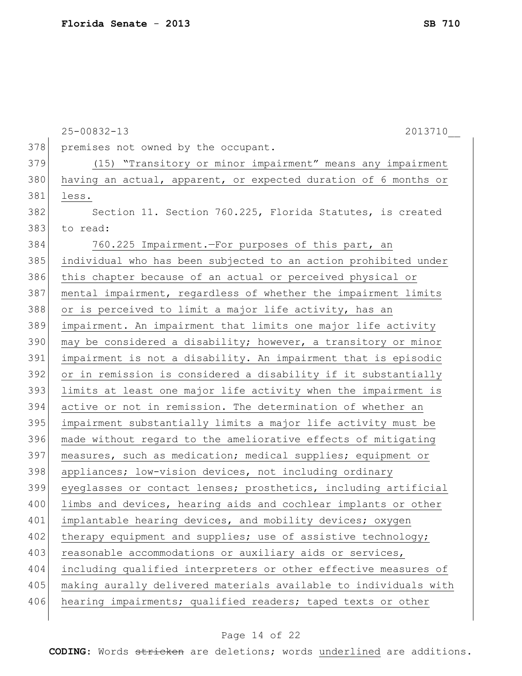|     | $25 - 00832 - 13$<br>2013710                                     |
|-----|------------------------------------------------------------------|
| 378 | premises not owned by the occupant.                              |
| 379 | (15) "Transitory or minor impairment" means any impairment       |
| 380 | having an actual, apparent, or expected duration of 6 months or  |
| 381 | less.                                                            |
| 382 | Section 11. Section 760.225, Florida Statutes, is created        |
| 383 | to read:                                                         |
| 384 | 760.225 Impairment. - For purposes of this part, an              |
| 385 | individual who has been subjected to an action prohibited under  |
| 386 | this chapter because of an actual or perceived physical or       |
| 387 | mental impairment, regardless of whether the impairment limits   |
| 388 | or is perceived to limit a major life activity, has an           |
| 389 | impairment. An impairment that limits one major life activity    |
| 390 | may be considered a disability; however, a transitory or minor   |
| 391 | impairment is not a disability. An impairment that is episodic   |
| 392 | or in remission is considered a disability if it substantially   |
| 393 | limits at least one major life activity when the impairment is   |
| 394 | active or not in remission. The determination of whether an      |
| 395 | impairment substantially limits a major life activity must be    |
| 396 | made without regard to the ameliorative effects of mitigating    |
| 397 | measures, such as medication; medical supplies; equipment or     |
| 398 | appliances; low-vision devices, not including ordinary           |
| 399 | eyeglasses or contact lenses; prosthetics, including artificial  |
| 400 | limbs and devices, hearing aids and cochlear implants or other   |
| 401 | implantable hearing devices, and mobility devices; oxygen        |
| 402 | therapy equipment and supplies; use of assistive technology;     |
| 403 | reasonable accommodations or auxiliary aids or services,         |
| 404 | including qualified interpreters or other effective measures of  |
| 405 | making aurally delivered materials available to individuals with |
| 406 | hearing impairments; qualified readers; taped texts or other     |
|     |                                                                  |

# Page 14 of 22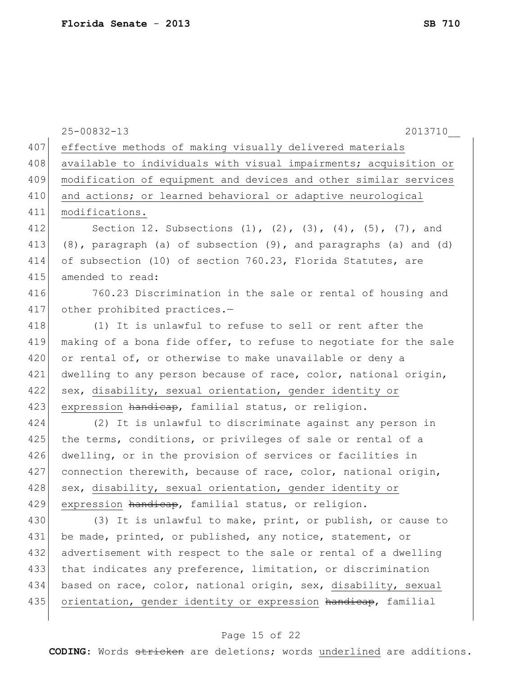|     | $25 - 00832 - 13$<br>2013710                                                |
|-----|-----------------------------------------------------------------------------|
| 407 | effective methods of making visually delivered materials                    |
| 408 | available to individuals with visual impairments; acquisition or            |
| 409 | modification of equipment and devices and other similar services            |
| 410 | and actions; or learned behavioral or adaptive neurological                 |
| 411 | modifications.                                                              |
| 412 | Section 12. Subsections $(1)$ , $(2)$ , $(3)$ , $(4)$ , $(5)$ , $(7)$ , and |
| 413 | (8), paragraph (a) of subsection (9), and paragraphs (a) and (d)            |
| 414 | of subsection (10) of section 760.23, Florida Statutes, are                 |
| 415 | amended to read:                                                            |
| 416 | 760.23 Discrimination in the sale or rental of housing and                  |
| 417 | other prohibited practices.-                                                |
| 418 | (1) It is unlawful to refuse to sell or rent after the                      |
| 419 | making of a bona fide offer, to refuse to negotiate for the sale            |
| 420 | or rental of, or otherwise to make unavailable or deny a                    |
| 421 | dwelling to any person because of race, color, national origin,             |
| 422 | sex, disability, sexual orientation, gender identity or                     |
| 423 | expression handicap, familial status, or religion.                          |
| 424 | (2) It is unlawful to discriminate against any person in                    |
| 425 | the terms, conditions, or privileges of sale or rental of a                 |
| 426 | dwelling, or in the provision of services or facilities in                  |
| 427 | connection therewith, because of race, color, national origin,              |
| 428 | sex, disability, sexual orientation, gender identity or                     |
| 429 | expression handicap, familial status, or religion.                          |
| 430 | (3) It is unlawful to make, print, or publish, or cause to                  |
| 431 | be made, printed, or published, any notice, statement, or                   |
| 432 | advertisement with respect to the sale or rental of a dwelling              |
| 433 | that indicates any preference, limitation, or discrimination                |
| 434 | based on race, color, national origin, sex, disability, sexual              |
| 435 | orientation, gender identity or expression handicap, familial               |
|     |                                                                             |

# Page 15 of 22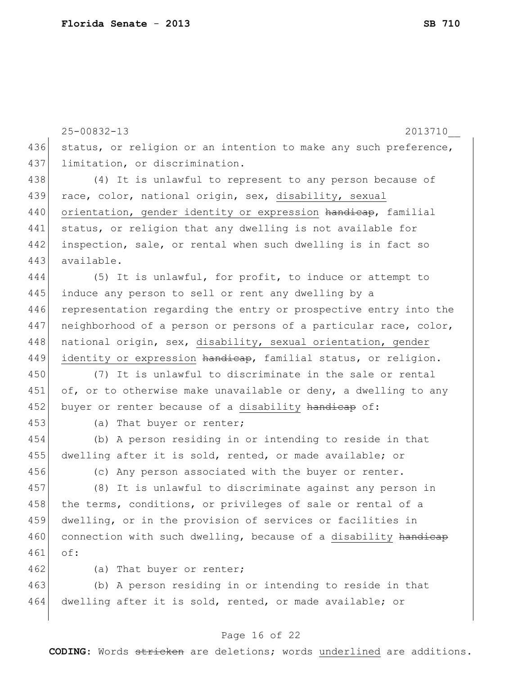|     | $25 - 00832 - 13$<br>2013710                                     |
|-----|------------------------------------------------------------------|
| 436 | status, or religion or an intention to make any such preference, |
| 437 | limitation, or discrimination.                                   |
| 438 | (4) It is unlawful to represent to any person because of         |
| 439 | race, color, national origin, sex, disability, sexual            |
| 440 | orientation, gender identity or expression handicap, familial    |
| 441 | status, or religion that any dwelling is not available for       |
| 442 | inspection, sale, or rental when such dwelling is in fact so     |
| 443 | available.                                                       |
| 444 | (5) It is unlawful, for profit, to induce or attempt to          |
| 445 | induce any person to sell or rent any dwelling by a              |
| 446 | representation regarding the entry or prospective entry into the |
| 447 | neighborhood of a person or persons of a particular race, color, |
| 448 | national origin, sex, disability, sexual orientation, gender     |
| 449 | identity or expression handicap, familial status, or religion.   |
| 450 | (7) It is unlawful to discriminate in the sale or rental         |
| 451 | of, or to otherwise make unavailable or deny, a dwelling to any  |
| 452 | buyer or renter because of a disability handicap of:             |
| 453 | (a) That buyer or renter;                                        |
| 454 | (b) A person residing in or intending to reside in that          |
| 455 | dwelling after it is sold, rented, or made available; or         |
| 456 | (c) Any person associated with the buyer or renter.              |
| 457 | (8) It is unlawful to discriminate against any person in         |
| 458 | the terms, conditions, or privileges of sale or rental of a      |
| 459 | dwelling, or in the provision of services or facilities in       |
| 460 | connection with such dwelling, because of a disability handicap  |
| 461 | of:                                                              |
| 462 | (a) That buyer or renter;                                        |
| 463 | (b) A person residing in or intending to reside in that          |
| 464 | dwelling after it is sold, rented, or made available; or         |
|     |                                                                  |

# Page 16 of 22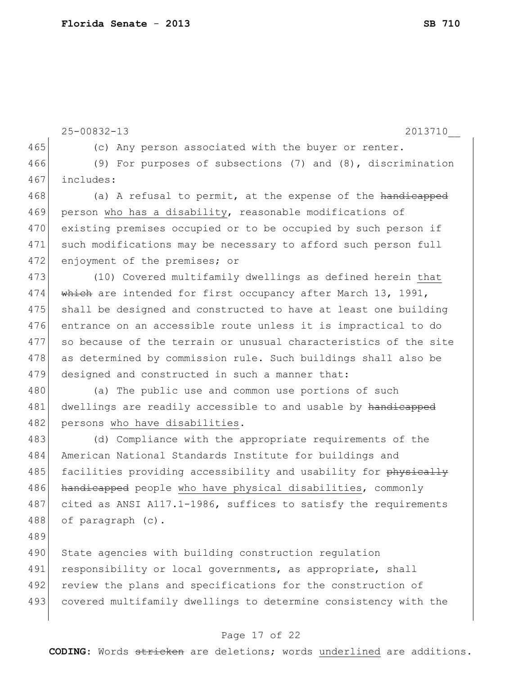25-00832-13 2013710\_\_ 465 (c) Any person associated with the buyer or renter. 466 (9) For purposes of subsections (7) and (8), discrimination 467 includes: 468 (a) A refusal to permit, at the expense of the handicapped 469 person who has a disability, reasonable modifications of 470 existing premises occupied or to be occupied by such person if 471 such modifications may be necessary to afford such person full 472 enjoyment of the premises; or 473 (10) Covered multifamily dwellings as defined herein that 474 which are intended for first occupancy after March 13, 1991, 475 shall be designed and constructed to have at least one building 476 entrance on an accessible route unless it is impractical to do 477 so because of the terrain or unusual characteristics of the site 478 as determined by commission rule. Such buildings shall also be 479 designed and constructed in such a manner that: 480 (a) The public use and common use portions of such 481 dwellings are readily accessible to and usable by handicapped 482 persons who have disabilities. 483 (d) Compliance with the appropriate requirements of the 484 American National Standards Institute for buildings and 485 facilities providing accessibility and usability for physically 486 handicapped people who have physical disabilities, commonly 487 cited as ANSI A117.1-1986, suffices to satisfy the requirements 488 of paragraph (c). 489 490 State agencies with building construction regulation 491 responsibility or local governments, as appropriate, shall 492 review the plans and specifications for the construction of 493 covered multifamily dwellings to determine consistency with the

#### Page 17 of 22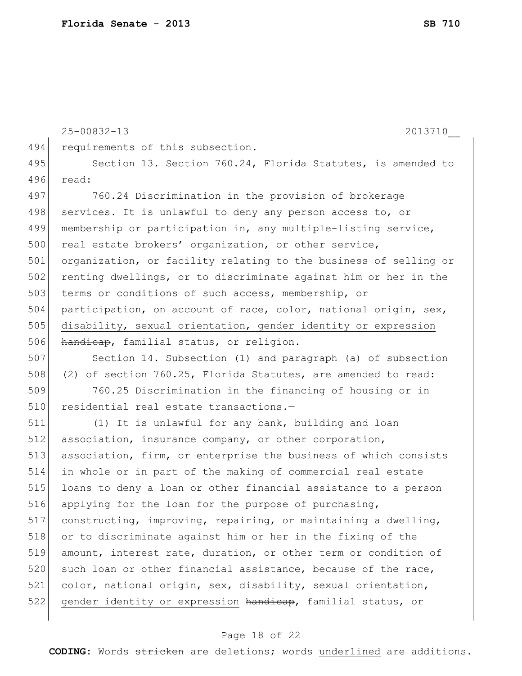25-00832-13 2013710\_\_ 494 requirements of this subsection. 495 Section 13. Section 760.24, Florida Statutes, is amended to 496 read: 497 760.24 Discrimination in the provision of brokerage 498 services.—It is unlawful to deny any person access to, or 499 membership or participation in, any multiple-listing service, 500 real estate brokers' organization, or other service, 501 organization, or facility relating to the business of selling or 502 renting dwellings, or to discriminate against him or her in the 503 terms or conditions of such access, membership, or 504 participation, on account of race, color, national origin, sex, 505 disability, sexual orientation, gender identity or expression 506 handicap, familial status, or religion. 507 Section 14. Subsection (1) and paragraph (a) of subsection 508 (2) of section 760.25, Florida Statutes, are amended to read: 509 760.25 Discrimination in the financing of housing or in 510 residential real estate transactions.-511 (1) It is unlawful for any bank, building and loan 512 association, insurance company, or other corporation, 513 association, firm, or enterprise the business of which consists 514 in whole or in part of the making of commercial real estate 515 loans to deny a loan or other financial assistance to a person 516 applying for the loan for the purpose of purchasing, 517 constructing, improving, repairing, or maintaining a dwelling, 518 or to discriminate against him or her in the fixing of the 519 amount, interest rate, duration, or other term or condition of 520 such loan or other financial assistance, because of the race, 521 color, national origin, sex, disability, sexual orientation, 522 gender identity or expression handicap, familial status, or

#### Page 18 of 22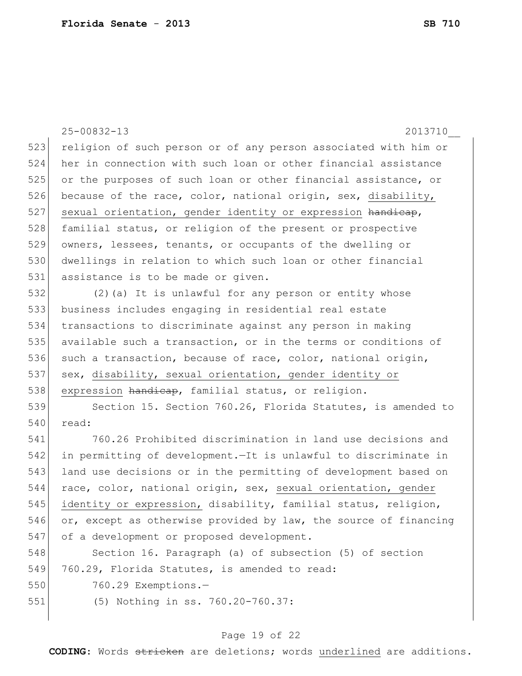25-00832-13 2013710\_\_ 523 religion of such person or of any person associated with him or 524 her in connection with such loan or other financial assistance 525 or the purposes of such loan or other financial assistance, or 526 because of the race, color, national origin, sex, disability, 527 sexual orientation, gender identity or expression handicap, 528 familial status, or religion of the present or prospective 529 owners, lessees, tenants, or occupants of the dwelling or 530 dwellings in relation to which such loan or other financial 531 assistance is to be made or given. 532 (2)(a) It is unlawful for any person or entity whose 533 business includes engaging in residential real estate 534 transactions to discriminate against any person in making 535 available such a transaction, or in the terms or conditions of 536 such a transaction, because of race, color, national origin, 537 sex, disability, sexual orientation, gender identity or 538 expression handicap, familial status, or religion. 539 Section 15. Section 760.26, Florida Statutes, is amended to 540 read: 541 760.26 Prohibited discrimination in land use decisions and 542 in permitting of development.—It is unlawful to discriminate in 543 land use decisions or in the permitting of development based on 544 race, color, national origin, sex, sexual orientation, gender 545 identity or expression, disability, familial status, religion, 546 or, except as otherwise provided by law, the source of financing 547 of a development or proposed development. 548 Section 16. Paragraph (a) of subsection (5) of section 549 760.29, Florida Statutes, is amended to read: 550 760.29 Exemptions.— 551 (5) Nothing in ss. 760.20-760.37:

#### Page 19 of 22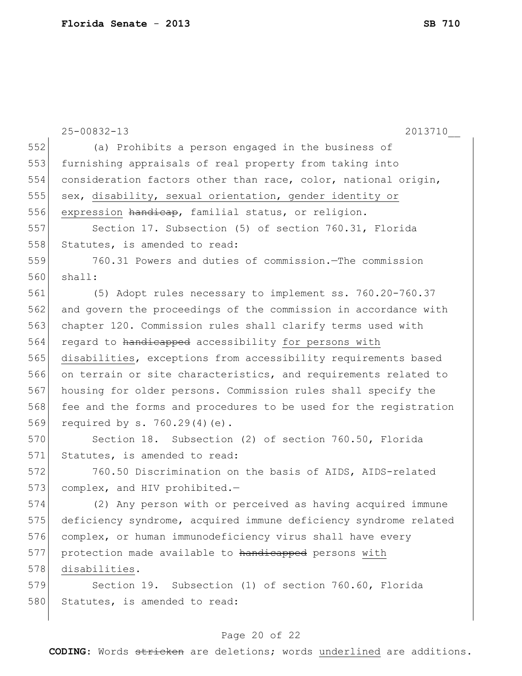|     | $25 - 00832 - 13$<br>2013710                                     |
|-----|------------------------------------------------------------------|
| 552 | (a) Prohibits a person engaged in the business of                |
| 553 | furnishing appraisals of real property from taking into          |
| 554 | consideration factors other than race, color, national origin,   |
| 555 | sex, disability, sexual orientation, gender identity or          |
| 556 | expression handicap, familial status, or religion.               |
| 557 | Section 17. Subsection (5) of section 760.31, Florida            |
| 558 | Statutes, is amended to read:                                    |
| 559 | 760.31 Powers and duties of commission. The commission           |
| 560 | shall:                                                           |
| 561 | (5) Adopt rules necessary to implement ss. 760.20-760.37         |
| 562 | and govern the proceedings of the commission in accordance with  |
| 563 | chapter 120. Commission rules shall clarify terms used with      |
| 564 | regard to handicapped accessibility for persons with             |
| 565 | disabilities, exceptions from accessibility requirements based   |
| 566 | on terrain or site characteristics, and requirements related to  |
| 567 | housing for older persons. Commission rules shall specify the    |
| 568 | fee and the forms and procedures to be used for the registration |
| 569 | required by s. $760.29(4)(e)$ .                                  |
| 570 | Section 18. Subsection (2) of section 760.50, Florida            |
| 571 | Statutes, is amended to read:                                    |
| 572 | 760.50 Discrimination on the basis of AIDS, AIDS-related         |
| 573 | complex, and HIV prohibited.-                                    |
| 574 | (2) Any person with or perceived as having acquired immune       |
| 575 | deficiency syndrome, acquired immune deficiency syndrome related |
| 576 | complex, or human immunodeficiency virus shall have every        |
| 577 | protection made available to handicapped persons with            |
| 578 | disabilities.                                                    |
| 579 | Section 19. Subsection (1) of section 760.60, Florida            |
| 580 | Statutes, is amended to read:                                    |
|     |                                                                  |

# Page 20 of 22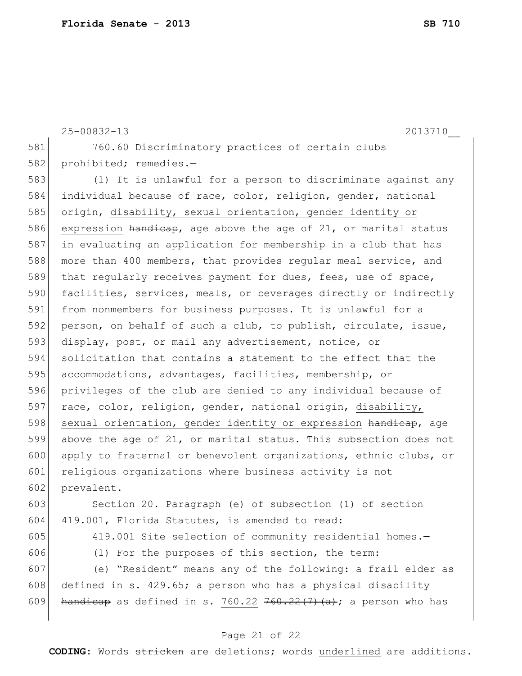|     | $25 - 00832 - 13$<br>2013710                                     |
|-----|------------------------------------------------------------------|
| 581 | 760.60 Discriminatory practices of certain clubs                 |
| 582 | prohibited; remedies.-                                           |
| 583 | (1) It is unlawful for a person to discriminate against any      |
| 584 | individual because of race, color, religion, gender, national    |
| 585 | origin, disability, sexual orientation, gender identity or       |
| 586 | expression handicap, age above the age of 21, or marital status  |
| 587 | in evaluating an application for membership in a club that has   |
| 588 | more than 400 members, that provides reqular meal service, and   |
| 589 | that regularly receives payment for dues, fees, use of space,    |
| 590 | facilities, services, meals, or beverages directly or indirectly |
| 591 | from nonmembers for business purposes. It is unlawful for a      |

592 person, on behalf of such a club, to publish, circulate, issue, 593 display, post, or mail any advertisement, notice, or 594 solicitation that contains a statement to the effect that the 595 accommodations, advantages, facilities, membership, or 596 privileges of the club are denied to any individual because of 597 race, color, religion, gender, national origin, disability, 598 sexual orientation, gender identity or expression handicap, age 599 above the age of 21, or marital status. This subsection does not 600 apply to fraternal or benevolent organizations, ethnic clubs, or 601 religious organizations where business activity is not 602 prevalent.

603 Section 20. Paragraph (e) of subsection (1) of section 604 419.001, Florida Statutes, is amended to read:

605 419.001 Site selection of community residential homes.-

606 (1) For the purposes of this section, the term:

607 (e) "Resident" means any of the following: a frail elder as 608 defined in s. 429.65; a person who has a physical disability 609 handicap as defined in s. 760.22  $760.22(7)(a)$ ; a person who has

#### Page 21 of 22